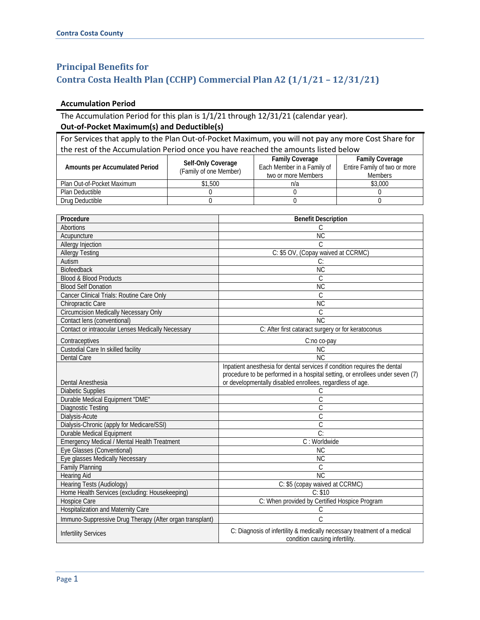## **Principal Benefits for Contra Costa Health Plan (CCHP) Commercial Plan A2 (1/1/21 – 12/31/21)**

## **Accumulation Period**

## The Accumulation Period for this plan is 1/1/21 through 12/31/21 (calendar year). **Out-of-Pocket Maximum(s) and Deductible(s)**

For Services that apply to the Plan Out-of-Pocket Maximum, you will not pay any more Cost Share for the rest of the Accumulation Period once you have reached the amounts listed below

| Amounts per Accumulated Period | Self-Only Coverage<br>(Family of one Member) | <b>Family Coverage</b><br>Each Member in a Family of<br>two or more Members | <b>Family Coverage</b><br>Entire Family of two or more<br><b>Members</b> |
|--------------------------------|----------------------------------------------|-----------------------------------------------------------------------------|--------------------------------------------------------------------------|
| Plan Out-of-Pocket Maximum     | \$1,500                                      | n/a                                                                         | \$3,000                                                                  |
| Plan Deductible                |                                              |                                                                             |                                                                          |
| Drug Deductible                |                                              |                                                                             |                                                                          |

| Procedure                                                | <b>Benefit Description</b>                                                                                 |  |
|----------------------------------------------------------|------------------------------------------------------------------------------------------------------------|--|
| <b>Abortions</b>                                         | С                                                                                                          |  |
| Acupuncture                                              | $\overline{\text{NC}}$                                                                                     |  |
| Allergy Injection                                        | C.                                                                                                         |  |
| <b>Allergy Testing</b>                                   | C: \$5 OV, (Copay waived at CCRMC)                                                                         |  |
| Autism                                                   | C:                                                                                                         |  |
| Biofeedback                                              | <b>NC</b>                                                                                                  |  |
| <b>Blood &amp; Blood Products</b>                        | C                                                                                                          |  |
| <b>Blood Self Donation</b>                               | <b>NC</b>                                                                                                  |  |
| Cancer Clinical Trials: Routine Care Only                | C                                                                                                          |  |
| Chiropractic Care                                        | <b>NC</b>                                                                                                  |  |
| <b>Circumcision Medically Necessary Only</b>             | $\mathcal{C}$                                                                                              |  |
| Contact lens (conventional)                              | <b>NC</b>                                                                                                  |  |
| <b>Contact or intraocular Lenses Medically Necessary</b> | C: After first cataract surgery or for keratoconus                                                         |  |
| Contraceptives                                           | C:no co-pay                                                                                                |  |
| Custodial Care In skilled facility                       | $\overline{\text{NC}}$                                                                                     |  |
| <b>Dental Care</b>                                       | <b>NC</b>                                                                                                  |  |
|                                                          | Inpatient anesthesia for dental services if condition requires the dental                                  |  |
|                                                          | procedure to be performed in a hospital setting, or enrollees under seven (7)                              |  |
| Dental Anesthesia                                        | or developmentally disabled enrollees, regardless of age.                                                  |  |
| <b>Diabetic Supplies</b>                                 | С                                                                                                          |  |
| Durable Medical Equipment "DME"                          | C                                                                                                          |  |
| <b>Diagnostic Testing</b>                                | $\overline{C}$                                                                                             |  |
| Dialysis-Acute                                           | $\overline{C}$                                                                                             |  |
| Dialysis-Chronic (apply for Medicare/SSI)                | $\overline{\mathsf{C}}$                                                                                    |  |
| Durable Medical Equipment                                | $\overline{C}$                                                                                             |  |
| <b>Emergency Medical / Mental Health Treatment</b>       | C: Worldwide                                                                                               |  |
| Eye Glasses (Conventional)                               | NC                                                                                                         |  |
| Eye glasses Medically Necessary                          | NC                                                                                                         |  |
| <b>Family Planning</b>                                   | C                                                                                                          |  |
| <b>Hearing Aid</b>                                       | NC                                                                                                         |  |
| Hearing Tests (Audiology)                                | C: \$5 (copay waived at CCRMC)                                                                             |  |
| Home Health Services (excluding: Housekeeping)           | C: \$10                                                                                                    |  |
| Hospice Care                                             | C: When provided by Certified Hospice Program                                                              |  |
| <b>Hospitalization and Maternity Care</b>                | С                                                                                                          |  |
| Immuno-Suppressive Drug Therapy (After organ transplant) | $\overline{C}$                                                                                             |  |
| <b>Infertility Services</b>                              | C: Diagnosis of infertility & medically necessary treatment of a medical<br>condition causing infertility. |  |